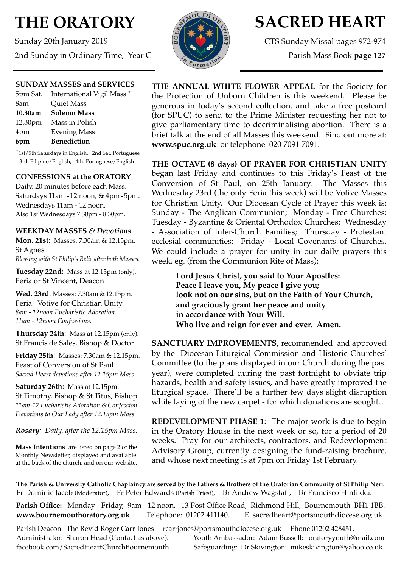# **THE ORATORY**

Sunday 20th January 2019 2nd Sunday in Ordinary Time, Year C



# **SACRED HEART**

CTS Sunday Missal pages 972-974

Parish Mass Book **page 127**

# **SUNDAY MASSES and SERVICES**

|         | 5pm Sat. International Vigil Mass * |
|---------|-------------------------------------|
| 8am     | Quiet Mass                          |
| 10.30am | <b>Solemn Mass</b>                  |
| 12.30pm | Mass in Polish                      |
| 4pm     | <b>Evening Mass</b>                 |
| 6pm     | <b>Benediction</b>                  |

\*1st/5th Saturdays in English, 2nd Sat. Portuguese 3rd Filipino/English, 4th Portuguese/English

# **CONFESSIONS at the ORATORY**

Daily, 20 minutes before each Mass. Saturdays 11am - 12 noon, & 4pm- 5pm. Wednesdays 11am - 12 noon. Also 1st Wednesdays 7.30pm - 8.30pm.

#### **WEEKDAY MASSES** *& Devotions*

**Mon. 21st**: Masses: 7.30am & 12.15pm. St Agnes *Blessing with St Philip's Relic after both Masses.*

**Tuesday 22nd**: Mass at 12.15pm (only). Feria or St Vincent, Deacon

**Wed. 23rd**: Masses: 7.30am & 12.15pm. Feria: Votive for Christian Unity *8am - 12noon Eucharistic Adoration. 11am - 12noon Confessions.*

**Thursday 24th**: Mass at 12.15pm (only). St Francis de Sales, Bishop & Doctor

**Friday 25th**: Masses: 7.30am & 12.15pm. Feast of Conversion of St Paul *Sacred Heart devotions after 12.15pm Mass.*

**Saturday 26th**: Mass at 12.15pm. St Timothy, Bishop & St Titus, Bishop *11am-12 Eucharistic Adoration & Confession. Devotions to Our Lady after 12.15pm Mass.*

*Rosary: Daily, after the 12.15pm Mass*.

**Mass Intentions** are listed on page 2 of the Monthly Newsletter, displayed and available at the back of the church, and on our website.

**THE ANNUAL WHITE FLOWER APPEAL** for the Society for the Protection of Unborn Children is this weekend. Please be generous in today's second collection, and take a free postcard (for SPUC) to send to the Prime Minister requesting her not to give parliamentary time to decriminalising abortion. There is a brief talk at the end of all Masses this weekend. Find out more at: **[www.spuc.org.uk](http://www.spuc.org.uk)** or telephone 020 7091 7091.

**THE OCTAVE (8 days) OF PRAYER FOR CHRISTIAN UNITY**  began last Friday and continues to this Friday's Feast of the Conversion of St Paul, on 25th January. The Masses this Wednesday 23rd (the only Feria this week) will be Votive Masses for Christian Unity. Our Diocesan Cycle of Prayer this week is: Sunday - The Anglican Communion; Monday - Free Churches; Tuesday - Byzantine & Oriental Orthodox Churches; Wednesday - Association of Inter-Church Families; Thursday - Protestant ecclesial communities; Friday - Local Covenants of Churches. We could include a prayer for unity in our daily prayers this week, eg. (from the Communion Rite of Mass):

> **Lord Jesus Christ, you said to Your Apostles: Peace I leave you, My peace I give you; look not on our sins, but on the Faith of Your Church, and graciously grant her peace and unity in accordance with Your Will. Who live and reign for ever and ever. Amen.**

**SANCTUARY IMPROVEMENTS, recommended and approved** by the Diocesan Liturgical Commission and Historic Churches' Committee (to the plans displayed in our Church during the past year), were completed during the past fortnight to obviate trip hazards, health and safety issues, and have greatly improved the liturgical space. There'll be a further few days slight disruption while laying of the new carpet - for which donations are sought…

**REDEVELOPMENT PHASE 1**: The major work is due to begin in the Oratory House in the next week or so, for a period of 20 weeks. Pray for our architects, contractors, and Redevelopment Advisory Group, currently designing the fund-raising brochure, and whose next meeting is at 7pm on Friday 1st February.

**The Parish & University Catholic Chaplaincy are served by the Fathers & Brothers of the Oratorian Community of St Philip Neri.** Fr Dominic Jacob (Moderator), Fr Peter Edwards (Parish Priest), Br Andrew Wagstaff, Br Francisco Hintikka.

**Parish Office:** Monday - Friday, 9am - 12 noon. 13 Post Office Road, Richmond Hill, Bournemouth BH1 1BB. **[www.bournemouthoratory.org.uk](http://www.bournemoithoratory.org.uk)** Telephone: 01202 411140. E. [sacredheart@portsmouthdiocese.org.uk](mailto:sacredheart@portsmouthdiocese.org.uk)

Parish Deacon: The Rev'd Roger Carr-Jones [rcarrjones@portsmouthdiocese.org.uk](mailto:rcarrjones@portsmouthdiocese.org.uk) Phone 01202 428451.

Administrator: Sharon Head (Contact as above). Youth Ambassador: Adam Bussell: [oratoryyouth@mail.com](http://oratoryyouth.mail.com) [facebook.com/SacredHeartChurchBournemouth](http://facebook.com/SaccredHeartChurchBournemouth) Safeguarding: Dr Skivington: mikeskivington@yahoo.co.uk